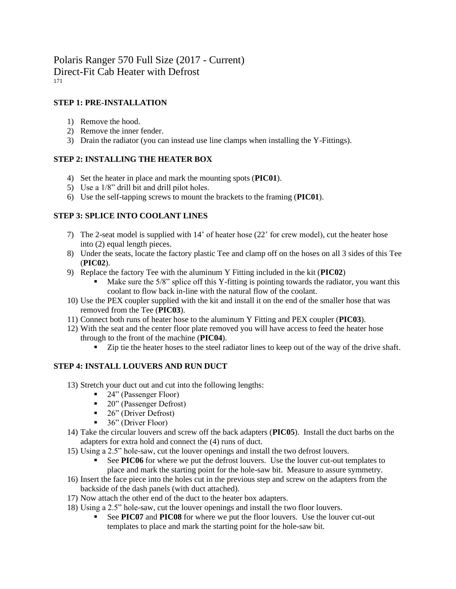## **STEP 1: PRE-INSTALLATION**

- 1) Remove the hood.
- 2) Remove the inner fender.
- 3) Drain the radiator (you can instead use line clamps when installing the Y-Fittings).

## **STEP 2: INSTALLING THE HEATER BOX**

- 4) Set the heater in place and mark the mounting spots (**PIC01**).
- 5) Use a 1/8" drill bit and drill pilot holes.
- 6) Use the self-tapping screws to mount the brackets to the framing (**PIC01**).

## **STEP 3: SPLICE INTO COOLANT LINES**

- 7) The 2-seat model is supplied with 14' of heater hose (22' for crew model), cut the heater hose into (2) equal length pieces.
- 8) Under the seats, locate the factory plastic Tee and clamp off on the hoses on all 3 sides of this Tee (**PIC02**).
- 9) Replace the factory Tee with the aluminum Y Fitting included in the kit (**PIC02**)
	- Make sure the  $5/8$ " splice off this Y-fitting is pointing towards the radiator, you want this coolant to flow back in-line with the natural flow of the coolant.
- 10) Use the PEX coupler supplied with the kit and install it on the end of the smaller hose that was removed from the Tee (**PIC03**).
- 11) Connect both runs of heater hose to the aluminum Y Fitting and PEX coupler (**PIC03**).
- 12) With the seat and the center floor plate removed you will have access to feed the heater hose through to the front of the machine (**PIC04**).
	- Zip tie the heater hoses to the steel radiator lines to keep out of the way of the drive shaft.

# **STEP 4: INSTALL LOUVERS AND RUN DUCT**

- 13) Stretch your duct out and cut into the following lengths:
	- 24" (Passenger Floor)
	- 20" (Passenger Defrost)
	- 26" (Driver Defrost)
	- 36" (Driver Floor)
- 14) Take the circular louvers and screw off the back adapters (**PIC05**). Install the duct barbs on the adapters for extra hold and connect the (4) runs of duct.
- 15) Using a 2.5" hole-saw, cut the louver openings and install the two defrost louvers.
	- See **PIC06** for where we put the defrost louvers. Use the louver cut-out templates to place and mark the starting point for the hole-saw bit. Measure to assure symmetry.
- 16) Insert the face piece into the holes cut in the previous step and screw on the adapters from the backside of the dash panels (with duct attached).
- 17) Now attach the other end of the duct to the heater box adapters.
- 18) Using a 2.5" hole-saw, cut the louver openings and install the two floor louvers.
	- See **PIC07** and **PIC08** for where we put the floor louvers. Use the louver cut-out templates to place and mark the starting point for the hole-saw bit.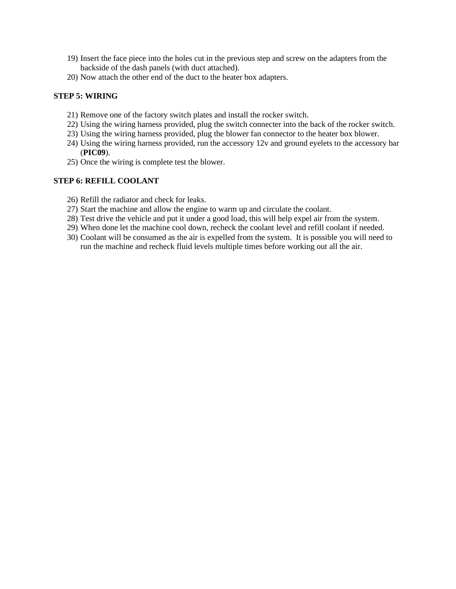- 19) Insert the face piece into the holes cut in the previous step and screw on the adapters from the backside of the dash panels (with duct attached).
- 20) Now attach the other end of the duct to the heater box adapters.

### **STEP 5: WIRING**

- 21) Remove one of the factory switch plates and install the rocker switch.
- 22) Using the wiring harness provided, plug the switch connecter into the back of the rocker switch.
- 23) Using the wiring harness provided, plug the blower fan connector to the heater box blower.
- 24) Using the wiring harness provided, run the accessory 12v and ground eyelets to the accessory bar (**PIC09**).
- 25) Once the wiring is complete test the blower.

#### **STEP 6: REFILL COOLANT**

- 26) Refill the radiator and check for leaks.
- 27) Start the machine and allow the engine to warm up and circulate the coolant.
- 28) Test drive the vehicle and put it under a good load, this will help expel air from the system.
- 29) When done let the machine cool down, recheck the coolant level and refill coolant if needed.
- 30) Coolant will be consumed as the air is expelled from the system. It is possible you will need to run the machine and recheck fluid levels multiple times before working out all the air.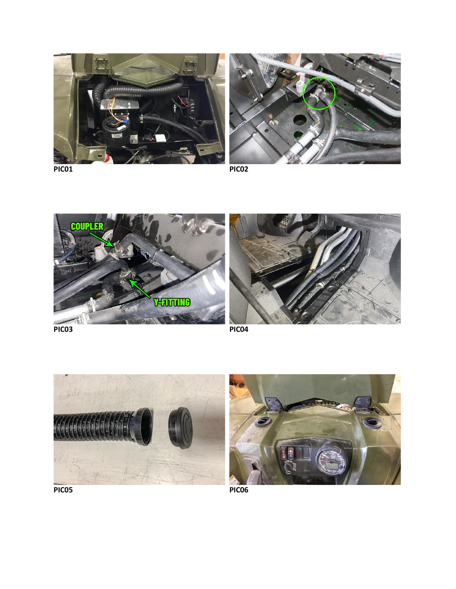







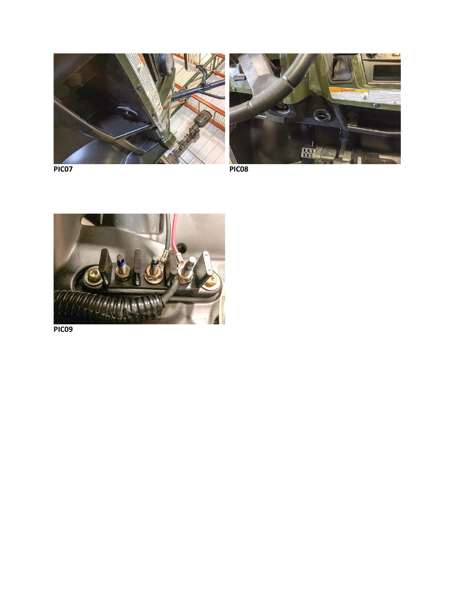